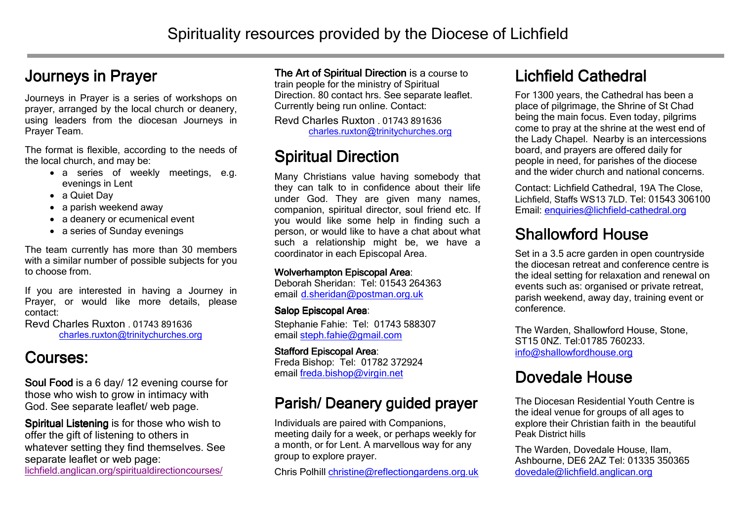#### Journeys in Prayer

Journeys in Prayer is a series of workshops on prayer, arranged by the local church or deanery, using leaders from the diocesan Journeys in Prayer Team.

The format is flexible, according to the needs of the local church, and may be:

- a series of weekly meetings, e.g. evenings in Lent
- a Quiet Day
- a parish weekend away
- a deanery or ecumenical event
- a series of Sunday evenings

The team currently has more than 30 members with a similar number of possible subjects for you to choose from.

If you are interested in having a Journey in Prayer, or would like more details, please contact:

Revd Charles Ruxton . 01743 891636 charles.ruxton@trinitychurches.org

## Courses:

Soul Food is a 6 day/ 12 evening course for those who wish to grow in intimacy with God. See separate leaflet/ web page.

Spiritual Listening is for those who wish to offer the gift of listening to others in whatever setting they find themselves. See separate leaflet or web page: lichfield.anglican.org/spiritualdirectioncourses/

**The Art of Spiritual Direction is a course to** train people for the ministry of Spiritual Direction. 80 contact hrs. See separate leaflet. Currently being run online. Contact:

Revd Charles Ruxton . 01743 891636 charles.ruxton@trinitychurches.org

## Spiritual Direction

Many Christians value having somebody that they can talk to in confidence about their life under God. They are given many names, companion, spiritual director, soul friend etc. If you would like some help in finding such a person, or would like to have a chat about what such a relationship might be, we have a coordinator in each Episcopal Area.

#### Wolverhampton Episcopal Area:

 Deborah Sheridan: Tel: 01543 264363 email <u>d.sheridan@postman.org.uk</u>

#### Salop Episcopal Area:

 Stephanie Fahie: Tel: 01743 588307 email steph.fahie@gmail.com

Stafford Episcopal Area: Freda Bishop: Tel: 01782 372924 email freda.bishop@virgin.net

#### Parish/ Deanery guided prayer

Individuals are paired with Companions, meeting daily for a week, or perhaps weekly for a month, or for Lent. A marvellous way for any group to explore prayer.

Chris Polhill christine@reflectiongardens.org.uk

## Lichfield Cathedral

For 1300 years, the Cathedral has been a place of pilgrimage, the Shrine of St Chad being the main focus. Even today, pilgrims come to pray at the shrine at the west end of the Lady Chapel. Nearby is an intercessions board, and prayers are offered daily for people in need, for parishes of the diocese and the wider church and national concerns.

Contact: Lichfield Cathedral, 19A The Close, Lichfield, Staffs WS13 7LD. Tel: 01543 306100 Email: enquiries@lichfield-cathedral.org

#### **Shallowford House**

 Set in a 3.5 acre garden in open countryside the diocesan retreat and conference centre is the ideal setting for relaxation and renewal on events such as: organised or private retreat, parish weekend, away day, training event or conference.

The Warden, Shallowford House, Stone, ST15 0NZ. Tel:01785 760233. info@shallowfordhouse.org

# Dovedale House

The Diocesan Residential Youth Centre is the ideal venue for groups of all ages to explore their Christian faith in the beautiful Peak District hills

The Warden, Dovedale House, Ilam, Ashbourne, DE6 2AZ Tel: 01335 350365 dovedale@lichfield.anglican.org